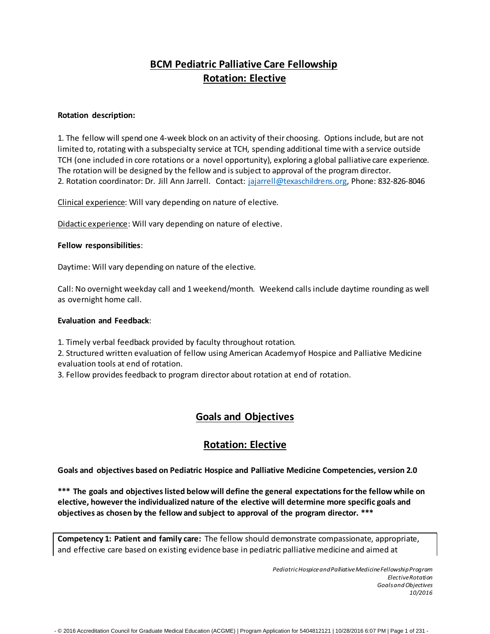# **BCM Pediatric Palliative Care Fellowship Rotation: Elective**

### **Rotation description:**

1. The fellow will spend one 4-week block on an activity of their choosing. Options include, but are not limited to, rotating with a subspecialty service at TCH, spending additional time with a service outside TCH (one included in core rotations or a novel opportunity), exploring a global palliative care experience. The rotation will be designed by the fellow and issubject to approval of the program director. 2. Rotation coordinator: Dr. Jill Ann Jarrell. Contact: [jajarrell@texaschildrens.org,](mailto:jajarrell@texaschildrens.org) Phone: 832-826-8046

Clinical experience: Will vary depending on nature of elective.

Didactic experience: Will vary depending on nature of elective.

#### **Fellow responsibilities**:

Daytime: Will vary depending on nature of the elective.

Call: No overnight weekday call and 1weekend/month. Weekend calls include daytime rounding as well as overnight home call.

#### **Evaluation and Feedback**:

1. Timely verbal feedback provided by faculty throughout rotation.

2. Structured written evaluation of fellow using American Academyof Hospice and Palliative Medicine evaluation tools at end of rotation.

3. Fellow provides feedback to program director about rotation at end of rotation.

## **Goals and Objectives**

## **Rotation: Elective**

**Goals and objectives based on Pediatric Hospice and Palliative Medicine Competencies, version 2.0**

**\*\*\* The goals and objectiveslisted below will define the general expectationsforthe fellow while on elective, howeverthe individualized nature of the elective will determine more specific goals and objectives as chosen by the fellow and subject to approval of the program director. \*\*\***

**Competency 1: Patient and family care:** The fellow should demonstrate compassionate, appropriate, and effective care based on existing evidence base in pediatric palliativemedicine and aimed at

> *PediatricHospiceandPalliativeMedicineFellowshipProgram ElectiveRotation GoalsandObjectives 10/2016*

- © 2016 Accreditation Council for Graduate Medical Education (ACGME) | Program Application for 5404812121 | 10/28/2016 6:07 PM | Page 1 of 231 -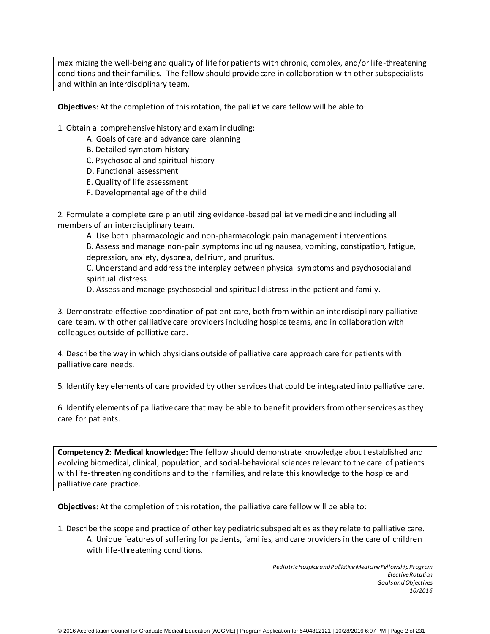maximizing the well-being and quality of life for patients with chronic, complex, and/or life-threatening conditions and their families. The fellow should provide care in collaboration with other subspecialists and within an interdisciplinary team.

**Objectives**: At the completion of this rotation, the palliative care fellow will be able to:

1. Obtain a comprehensive history and exam including:

- A. Goals of care and advance care planning
- B. Detailed symptom history
- C. Psychosocial and spiritual history
- D. Functional assessment
- E. Quality of life assessment
- F. Developmental age of the child

2. Formulate a complete care plan utilizing evidence -based palliativemedicine and including all members of an interdisciplinary team.

A. Use both pharmacologic and non-pharmacologic pain management interventions

B. Assess and manage non-pain symptoms including nausea, vomiting, constipation, fatigue, depression, anxiety, dyspnea, delirium, and pruritus.

C. Understand and address the interplay between physical symptoms and psychosocial and spiritual distress.

D. Assess and manage psychosocial and spiritual distress in the patient and family.

3. Demonstrate effective coordination of patient care, both from within an interdisciplinary palliative care team, with other palliative care providers including hospice teams, and in collaboration with colleagues outside of palliative care.

4. Describe the way in which physicians outside of palliative care approach care for patients with palliative care needs.

5. Identify key elements of care provided by other services that could be integrated into palliative care.

6. Identify elements of palliative care that may be able to benefit providers from other services as they care for patients.

**Competency 2: Medical knowledge:** The fellow should demonstrate knowledge about established and evolving biomedical, clinical, population, and social-behavioral sciences relevant to the care of patients with life-threatening conditions and to their families, and relate this knowledge to the hospice and palliative care practice.

**Objectives:** At the completion of thisrotation, the palliative care fellow will be able to:

1. Describe the scope and practice of other key pediatric subspecialties as they relate to palliative care. A. Unique features of suffering for patients, families, and care providers in the care of children with life-threatening conditions.

> *PediatricHospiceandPalliativeMedicineFellowshipProgram ElectiveRotation GoalsandObjectives 10/2016*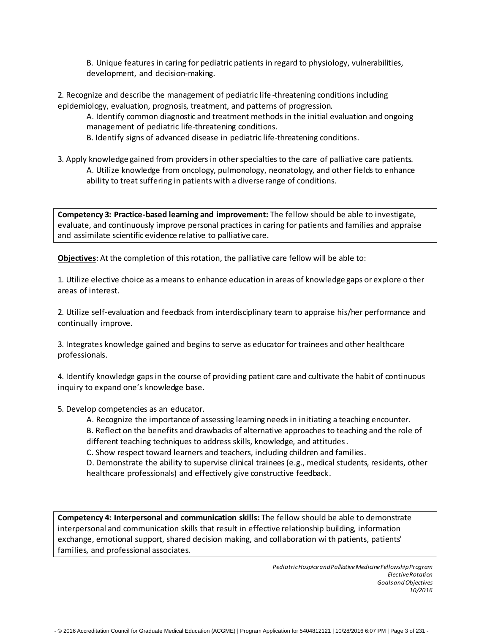B. Unique features in caring for pediatric patients in regard to physiology, vulnerabilities, development, and decision-making.

2. Recognize and describe the management of pediatric life -threatening conditions including epidemiology, evaluation, prognosis, treatment, and patterns of progression.

A. Identify common diagnostic and treatment methods in the initial evaluation and ongoing management of pediatric life-threatening conditions.

B. Identify signs of advanced disease in pediatric life-threatening conditions.

3. Apply knowledge gained from providers in other specialties to the care of palliative care patients. A. Utilize knowledge from oncology, pulmonology, neonatology, and other fields to enhance ability to treat suffering in patients with a diverse range of conditions.

**Competency 3: Practice-based learning and improvement:** The fellow should be able to investigate, evaluate, and continuously improve personal practices in caring for patients and families and appraise and assimilate scientific evidence relative to palliative care.

**Objectives**: At the completion of thisrotation, the palliative care fellow will be able to:

1. Utilize elective choice as a means to enhance education in areas of knowledge gaps or explore o ther areas of interest.

2. Utilize self-evaluation and feedback from interdisciplinary team to appraise his/her performance and continually improve.

3. Integrates knowledge gained and begins to serve as educatorfortrainees and other healthcare professionals.

4. Identify knowledge gaps in the course of providing patient care and cultivate the habit of continuous inquiry to expand one's knowledge base.

5. Develop competencies as an educator.

A. Recognize the importance of assessing learning needs in initiating a teaching encounter.

B. Reflect on the benefits and drawbacks of alternative approaches to teaching and the role of different teaching techniques to address skills, knowledge, and attitudes.

C. Show respect toward learners and teachers, including children and families.

D. Demonstrate the ability to supervise clinical trainees (e.g., medical students, residents, other healthcare professionals) and effectively give constructive feedback.

**Competency 4: Interpersonal and communication skills:** The fellow should be able to demonstrate interpersonal and communication skills that result in effective relationship building, information exchange, emotional support, shared decision making, and collaboration wi th patients, patients' families, and professional associates.

> *PediatricHospiceandPalliativeMedicineFellowshipProgram ElectiveRotation GoalsandObjectives 10/2016*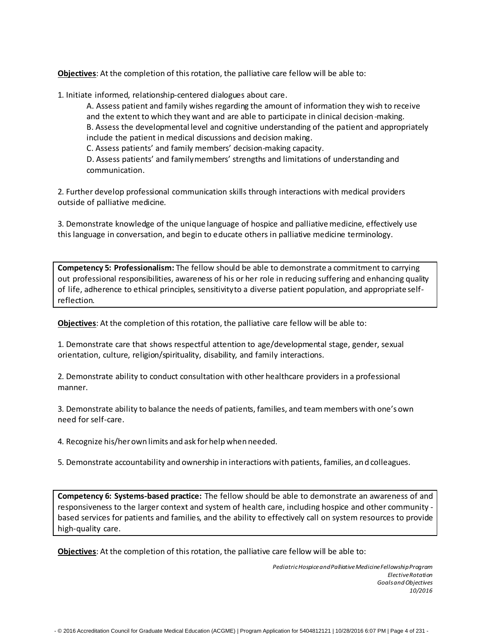**Objectives**: At the completion of thisrotation, the palliative care fellow will be able to:

1. Initiate informed, relationship-centered dialogues about care.

A. Assess patient and family wishes regarding the amount of information they wish to receive and the extent to which they want and are able to participate in clinical decision-making. B. Assess the developmental level and cognitive understanding of the patient and appropriately include the patient in medical discussions and decision making.

C. Assess patients' and family members' decision-making capacity.

D. Assess patients' and familymembers' strengths and limitations of understanding and communication.

2. Further develop professional communication skills through interactions with medical providers outside of palliative medicine.

3. Demonstrate knowledge of the unique language of hospice and palliativemedicine, effectively use this language in conversation, and begin to educate others in palliative medicine terminology.

**Competency 5: Professionalism:** The fellow should be able to demonstrate a commitment to carrying out professional responsibilities, awareness of his or her role in reducing suffering and enhancing quality of life, adherence to ethical principles, sensitivityto a diverse patient population, and appropriate selfreflection.

**Objectives**: At the completion of this rotation, the palliative care fellow will be able to:

1. Demonstrate care that shows respectful attention to age/developmental stage, gender, sexual orientation, culture, religion/spirituality, disability, and family interactions.

2. Demonstrate ability to conduct consultation with other healthcare providers in a professional manner.

3. Demonstrate ability to balance the needs of patients, families, and team members with one's own need forself-care.

4. Recognize his/herown limits and ask forhelp when needed.

5. Demonstrate accountability and ownership in interactions with patients, families, and colleagues.

**Competency 6: Systems-based practice:** The fellow should be able to demonstrate an awareness of and responsiveness to the larger context and system of health care, including hospice and other community based services for patients and families, and the ability to effectively call on system resources to provide high-quality care.

**Objectives**: At the completion of thisrotation, the palliative care fellow will be able to:

- © 2016 Accreditation Council for Graduate Medical Education (ACGME) | Program Application for 5404812121 | 10/28/2016 6:07 PM | Page 4 of 231 -